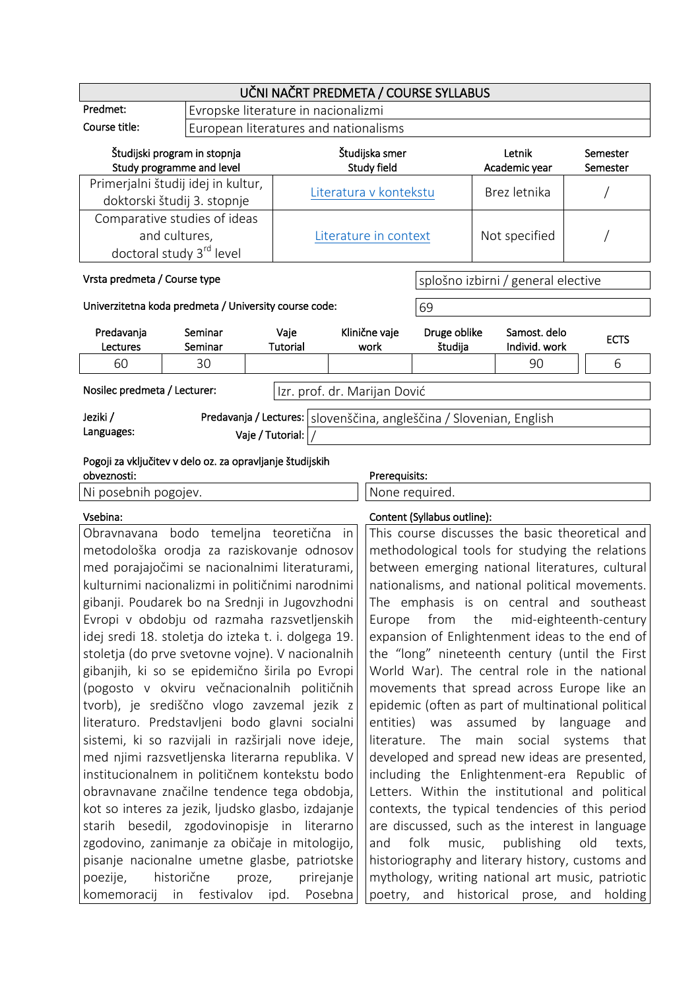| UČNI NAČRT PREDMETA / COURSE SYLLABUS                                                                                                                                                                                                                                                                                                                                                                                                                                                                                                                                                                                                                                                                                                                               |                    |                                       |                                                                                                                                                                                                                                                                                                                                                                    |                                                                                                                                                                                                                                                                                                                                                                                                                                                                                                                                                                                                                                                                                                    |                                    |                                                                       |                      |  |
|---------------------------------------------------------------------------------------------------------------------------------------------------------------------------------------------------------------------------------------------------------------------------------------------------------------------------------------------------------------------------------------------------------------------------------------------------------------------------------------------------------------------------------------------------------------------------------------------------------------------------------------------------------------------------------------------------------------------------------------------------------------------|--------------------|---------------------------------------|--------------------------------------------------------------------------------------------------------------------------------------------------------------------------------------------------------------------------------------------------------------------------------------------------------------------------------------------------------------------|----------------------------------------------------------------------------------------------------------------------------------------------------------------------------------------------------------------------------------------------------------------------------------------------------------------------------------------------------------------------------------------------------------------------------------------------------------------------------------------------------------------------------------------------------------------------------------------------------------------------------------------------------------------------------------------------------|------------------------------------|-----------------------------------------------------------------------|----------------------|--|
| Predmet:                                                                                                                                                                                                                                                                                                                                                                                                                                                                                                                                                                                                                                                                                                                                                            |                    |                                       | Evropske literature in nacionalizmi                                                                                                                                                                                                                                                                                                                                |                                                                                                                                                                                                                                                                                                                                                                                                                                                                                                                                                                                                                                                                                                    |                                    |                                                                       |                      |  |
| Course title:                                                                                                                                                                                                                                                                                                                                                                                                                                                                                                                                                                                                                                                                                                                                                       |                    | European literatures and nationalisms |                                                                                                                                                                                                                                                                                                                                                                    |                                                                                                                                                                                                                                                                                                                                                                                                                                                                                                                                                                                                                                                                                                    |                                    |                                                                       |                      |  |
| Študijski program in stopnja<br>Study programme and level                                                                                                                                                                                                                                                                                                                                                                                                                                                                                                                                                                                                                                                                                                           |                    |                                       | Študijska smer<br>Study field                                                                                                                                                                                                                                                                                                                                      |                                                                                                                                                                                                                                                                                                                                                                                                                                                                                                                                                                                                                                                                                                    |                                    | Letnik<br>Academic year                                               | Semester<br>Semester |  |
| Primerjalni študij idej in kultur,<br>doktorski študij 3. stopnje                                                                                                                                                                                                                                                                                                                                                                                                                                                                                                                                                                                                                                                                                                   |                    |                                       | Literatura v kontekstu                                                                                                                                                                                                                                                                                                                                             |                                                                                                                                                                                                                                                                                                                                                                                                                                                                                                                                                                                                                                                                                                    |                                    | Brez letnika                                                          |                      |  |
| Comparative studies of ideas<br>and cultures,                                                                                                                                                                                                                                                                                                                                                                                                                                                                                                                                                                                                                                                                                                                       |                    | Literature in context                 |                                                                                                                                                                                                                                                                                                                                                                    | Not specified                                                                                                                                                                                                                                                                                                                                                                                                                                                                                                                                                                                                                                                                                      |                                    |                                                                       |                      |  |
| doctoral study 3 <sup>rd</sup> level<br>Vrsta predmeta / Course type                                                                                                                                                                                                                                                                                                                                                                                                                                                                                                                                                                                                                                                                                                |                    |                                       |                                                                                                                                                                                                                                                                                                                                                                    |                                                                                                                                                                                                                                                                                                                                                                                                                                                                                                                                                                                                                                                                                                    | splošno izbirni / general elective |                                                                       |                      |  |
| Univerzitetna koda predmeta / University course code:                                                                                                                                                                                                                                                                                                                                                                                                                                                                                                                                                                                                                                                                                                               |                    |                                       |                                                                                                                                                                                                                                                                                                                                                                    |                                                                                                                                                                                                                                                                                                                                                                                                                                                                                                                                                                                                                                                                                                    | 69                                 |                                                                       |                      |  |
| Predavanja<br>Lectures                                                                                                                                                                                                                                                                                                                                                                                                                                                                                                                                                                                                                                                                                                                                              | Seminar<br>Seminar | Vaje<br>Tutorial                      | Klinične vaje<br>work                                                                                                                                                                                                                                                                                                                                              |                                                                                                                                                                                                                                                                                                                                                                                                                                                                                                                                                                                                                                                                                                    | Druge oblike<br>študija            | Samost. delo<br>Individ. work                                         | <b>ECTS</b>          |  |
| 60                                                                                                                                                                                                                                                                                                                                                                                                                                                                                                                                                                                                                                                                                                                                                                  | 30                 |                                       |                                                                                                                                                                                                                                                                                                                                                                    |                                                                                                                                                                                                                                                                                                                                                                                                                                                                                                                                                                                                                                                                                                    |                                    | 90                                                                    | 6                    |  |
| Nosilec predmeta / Lecturer:                                                                                                                                                                                                                                                                                                                                                                                                                                                                                                                                                                                                                                                                                                                                        |                    |                                       |                                                                                                                                                                                                                                                                                                                                                                    | Izr. prof. dr. Marijan Dović                                                                                                                                                                                                                                                                                                                                                                                                                                                                                                                                                                                                                                                                       |                                    |                                                                       |                      |  |
| Jeziki /                                                                                                                                                                                                                                                                                                                                                                                                                                                                                                                                                                                                                                                                                                                                                            |                    |                                       |                                                                                                                                                                                                                                                                                                                                                                    |                                                                                                                                                                                                                                                                                                                                                                                                                                                                                                                                                                                                                                                                                                    |                                    | Predavanja / Lectures:   slovenščina, angleščina / Slovenian, English |                      |  |
| Languages:                                                                                                                                                                                                                                                                                                                                                                                                                                                                                                                                                                                                                                                                                                                                                          |                    | Vaje / Tutorial:                      |                                                                                                                                                                                                                                                                                                                                                                    |                                                                                                                                                                                                                                                                                                                                                                                                                                                                                                                                                                                                                                                                                                    |                                    |                                                                       |                      |  |
| Pogoji za vključitev v delo oz. za opravljanje študijskih<br>obveznosti:                                                                                                                                                                                                                                                                                                                                                                                                                                                                                                                                                                                                                                                                                            |                    |                                       |                                                                                                                                                                                                                                                                                                                                                                    | Prerequisits:                                                                                                                                                                                                                                                                                                                                                                                                                                                                                                                                                                                                                                                                                      |                                    |                                                                       |                      |  |
| Ni posebnih pogojev.                                                                                                                                                                                                                                                                                                                                                                                                                                                                                                                                                                                                                                                                                                                                                |                    |                                       |                                                                                                                                                                                                                                                                                                                                                                    | None required.                                                                                                                                                                                                                                                                                                                                                                                                                                                                                                                                                                                                                                                                                     |                                    |                                                                       |                      |  |
| Vsebina:                                                                                                                                                                                                                                                                                                                                                                                                                                                                                                                                                                                                                                                                                                                                                            |                    |                                       |                                                                                                                                                                                                                                                                                                                                                                    |                                                                                                                                                                                                                                                                                                                                                                                                                                                                                                                                                                                                                                                                                                    | Content (Syllabus outline):        |                                                                       |                      |  |
| bodo temeljna teoretična<br>Obravnavana<br>metodološka orodja za raziskovanje odnosov<br>med porajajočimi se nacionalnimi literaturami,<br>kulturnimi nacionalizmi in političnimi narodnimi<br>gibanji. Poudarek bo na Srednji in Jugovzhodni<br>Evropi v obdobju od razmaha razsvetljenskih<br>idej sredi 18. stoletja do izteka t. i. dolgega 19.<br>stoletja (do prve svetovne vojne). V nacionalnih<br>gibanjih, ki so se epidemično širila po Evropi<br>(pogosto v okviru večnacionalnih političnih<br>tvorb), je središčno vlogo zavzemal jezik z<br>literaturo. Predstavljeni bodo glavni socialni<br>sistemi, ki so razvijali in razširjali nove ideje,<br>med njimi razsvetljenska literarna republika. V<br>institucionalnem in političnem kontekstu bodo |                    |                                       | in                                                                                                                                                                                                                                                                                                                                                                 | methodological tools for studying the relations<br>between emerging national literatures, cultural<br>nationalisms, and national political movements.<br>The emphasis is on central and southeast<br>Europe from the mid-eighteenth-century<br>expansion of Enlightenment ideas to the end of<br>the "long" nineteenth century (until the First<br>World War). The central role in the national<br>movements that spread across Europe like an<br>epidemic (often as part of multinational political<br>entities) was assumed<br>by language<br>and<br>literature. The main social systems<br>that<br>developed and spread new ideas are presented,<br>including the Enlightenment-era Republic of |                                    |                                                                       |                      |  |
| obravnavane značilne tendence tega obdobja,<br>kot so interes za jezik, ljudsko glasbo, izdajanje<br>starih besedil, zgodovinopisje in literarno<br>zgodovino, zanimanje za običaje in mitologijo,<br>pisanje nacionalne umetne glasbe, patriotske<br>historične<br>proze,<br>prirejanje<br>poezije,<br>komemoracij in festivalov ipd. Posebna                                                                                                                                                                                                                                                                                                                                                                                                                      |                    |                                       | Letters. Within the institutional and political<br>contexts, the typical tendencies of this period<br>are discussed, such as the interest in language<br>folk<br>music,<br>publishing<br>old<br>and<br>texts,<br>historiography and literary history, customs and<br>mythology, writing national art music, patriotic<br>poetry, and historical prose, and holding |                                                                                                                                                                                                                                                                                                                                                                                                                                                                                                                                                                                                                                                                                                    |                                    |                                                                       |                      |  |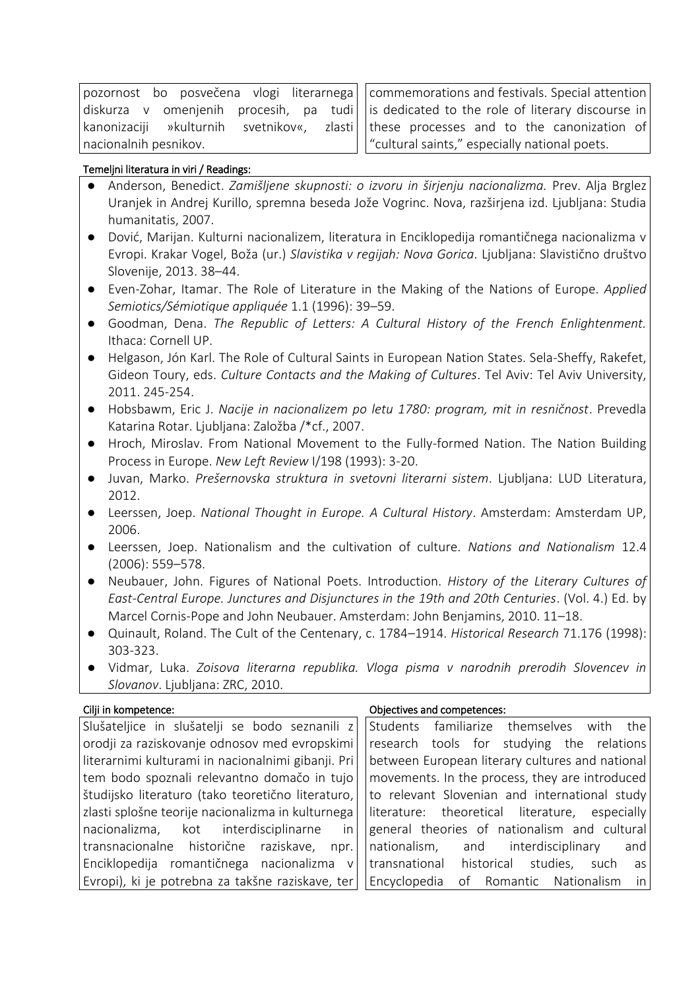| pozornost bo posvečena vlogi literarnega   |  |  |  |  |  |  |
|--------------------------------------------|--|--|--|--|--|--|
| diskurza v omenjenih procesih, pa tudi     |  |  |  |  |  |  |
| kanonizaciji »kulturnih svetnikov«, zlasti |  |  |  |  |  |  |
| nacionalnih pesnikov.                      |  |  |  |  |  |  |

commemorations and festivals. Special attention is dedicated to the role of literary discourse in these processes and to the canonization of "cultural saints," especially national poets.

## Temeljni literatura in viri / Readings:

- Anderson, Benedict. *Zamišljene skupnosti: o izvoru in širjenju nacionalizma.* Prev. Alja Brglez Uranjek in Andrej Kurillo, spremna beseda Jože Vogrinc. Nova, razširjena izd. Ljubljana: Studia humanitatis, 2007.
- Dović, Marijan. Kulturni nacionalizem, literatura in Enciklopedija romantičnega nacionalizma v Evropi. Krakar Vogel, Boža (ur.) *Slavistika v regijah: Nova Gorica*. Ljubljana: Slavistično društvo Slovenije, 2013. 38–44.
- Even-Zohar, Itamar. The Role of Literature in the Making of the Nations of Europe. *Applied Semiotics/Sémiotique appliquée* 1.1 (1996): 39–59.
- Goodman, Dena. *The Republic of Letters: A Cultural History of the French Enlightenment.* Ithaca: Cornell UP.
- Helgason, Jón Karl. The Role of Cultural Saints in European Nation States. Sela-Sheffy, Rakefet, Gideon Toury, eds. *Culture Contacts and the Making of Cultures*. Tel Aviv: Tel Aviv University, 2011. 245-254.
- Hobsbawm, Eric J. *Nacije in nacionalizem po letu 1780: program, mit in resničnost*. Prevedla Katarina Rotar. Ljubljana: Založba /\*cf., 2007.
- Hroch, Miroslav. From National Movement to the Fully-formed Nation. The Nation Building Process in Europe. *New Left Review* I/198 (1993): 3-20.
- Juvan, Marko. *Prešernovska struktura in svetovni literarni sistem*. Ljubljana: LUD Literatura, 2012.
- Leerssen, Joep. *National Thought in Europe. A Cultural History*. Amsterdam: Amsterdam UP, 2006.
- Leerssen, Joep. Nationalism and the cultivation of culture. *Nations and Nationalism* 12.4 (2006): 559–578.
- Neubauer, John. Figures of National Poets. Introduction. *History of the Literary Cultures of East-Central Europe. Junctures and Disjunctures in the 19th and 20th Centuries*. (Vol. 4.) Ed. by Marcel Cornis-Pope and John Neubauer. Amsterdam: John Benjamins, 2010. 11–18.
- Quinault, Roland. The Cult of the Centenary, c. 1784–1914. *Historical Research* 71.176 (1998): 303-323.
- Vidmar, Luka. *Zoisova literarna republika. Vloga pisma v narodnih prerodih Slovencev in Slovanov*. Ljubljana: ZRC, 2010.

Cilji in kompetence:  $\qquad \qquad \qquad$  Objectives and competences:

Slušateljice in slušatelji se bodo seznanili z orodji za raziskovanje odnosov med evropskimi literarnimi kulturami in nacionalnimi gibanji. Pri tem bodo spoznali relevantno domačo in tujo študijsko literaturo (tako teoretično literaturo, zlasti splošne teorije nacionalizma in kulturnega nacionalizma, kot interdisciplinarne in transnacionalne historične raziskave, npr. Enciklopedija romantičnega nacionalizma v Evropi), ki je potrebna za takšne raziskave, ter

Students familiarize themselves with the research tools for studying the relations between European literary cultures and national movements. In the process, they are introduced to relevant Slovenian and international study literature: theoretical literature, especially general theories of nationalism and cultural nationalism, and interdisciplinary and transnational historical studies, such as Encyclopedia of Romantic Nationalism in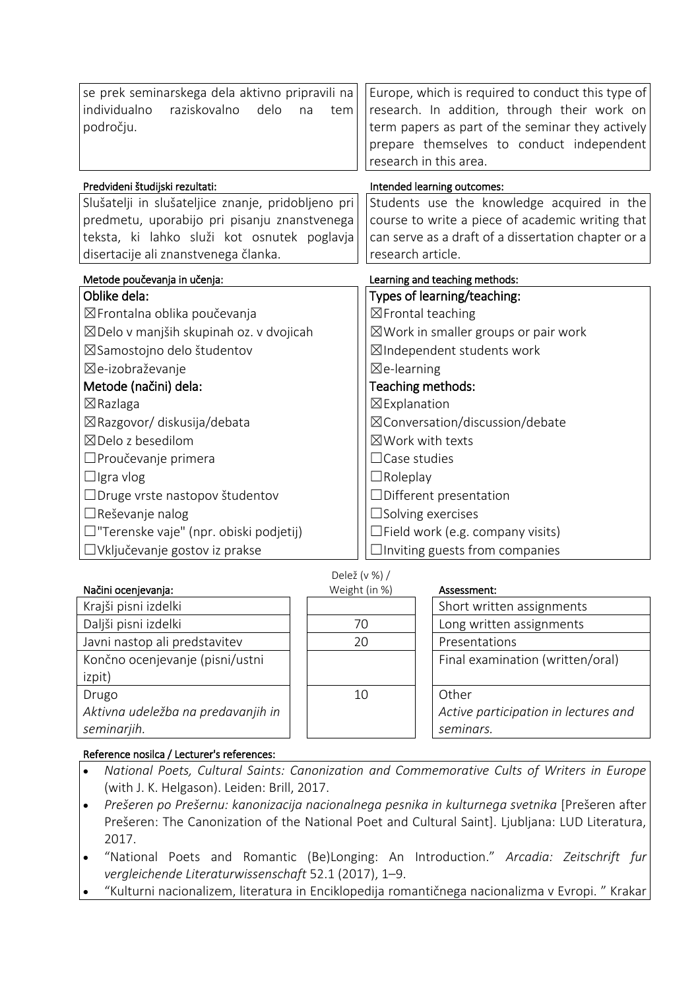| se prek seminarskega dela aktivno pripravili na<br>individualno<br>raziskovalno<br>delo<br>tem<br>na<br>področju. | Europe, which is required to conduct this type of<br>research. In addition, through their work on<br>term papers as part of the seminar they actively<br>prepare themselves to conduct independent<br>research in this area. |  |  |  |  |
|-------------------------------------------------------------------------------------------------------------------|------------------------------------------------------------------------------------------------------------------------------------------------------------------------------------------------------------------------------|--|--|--|--|
| Predvideni študijski rezultati:                                                                                   | Intended learning outcomes:                                                                                                                                                                                                  |  |  |  |  |
| Slušatelji in slušateljice znanje, pridobljeno pri                                                                | Students use the knowledge acquired in the                                                                                                                                                                                   |  |  |  |  |
| predmetu, uporabijo pri pisanju znanstvenega                                                                      | course to write a piece of academic writing that                                                                                                                                                                             |  |  |  |  |
| teksta, ki lahko služi kot osnutek poglavja                                                                       | can serve as a draft of a dissertation chapter or a                                                                                                                                                                          |  |  |  |  |
| disertacije ali znanstvenega članka.                                                                              | research article.                                                                                                                                                                                                            |  |  |  |  |
| Metode poučevanja in učenja:                                                                                      | Learning and teaching methods:                                                                                                                                                                                               |  |  |  |  |
| Oblike dela:                                                                                                      | Types of learning/teaching:                                                                                                                                                                                                  |  |  |  |  |
| ⊠Frontalna oblika poučevanja                                                                                      | ⊠Frontal teaching                                                                                                                                                                                                            |  |  |  |  |
| ⊠Delo v manjših skupinah oz. v dvojicah                                                                           | $\boxtimes$ Work in smaller groups or pair work                                                                                                                                                                              |  |  |  |  |
| ⊠Samostojno delo študentov                                                                                        | ⊠Independent students work                                                                                                                                                                                                   |  |  |  |  |
| ⊠e-izobraževanje                                                                                                  | $\boxtimes$ e-learning                                                                                                                                                                                                       |  |  |  |  |
| Metode (načini) dela:                                                                                             | Teaching methods:                                                                                                                                                                                                            |  |  |  |  |
| $\boxtimes$ Razlaga                                                                                               | ⊠Explanation                                                                                                                                                                                                                 |  |  |  |  |
| ⊠Razgovor/ diskusija/debata                                                                                       | ⊠ Conversation/discussion/debate                                                                                                                                                                                             |  |  |  |  |
| $\boxtimes$ Delo z besedilom                                                                                      | $\boxtimes$ Work with texts                                                                                                                                                                                                  |  |  |  |  |
| □ Proučevanje primera                                                                                             | $\Box$ Case studies                                                                                                                                                                                                          |  |  |  |  |
| $\Box$ Igra vlog                                                                                                  | $\Box$ Roleplay                                                                                                                                                                                                              |  |  |  |  |
| □ Druge vrste nastopov študentov                                                                                  | $\Box$ Different presentation                                                                                                                                                                                                |  |  |  |  |
| $\Box$ Reševanje nalog                                                                                            | $\square$ Solving exercises                                                                                                                                                                                                  |  |  |  |  |
| $\Box$ "Terenske vaje" (npr. obiski podjetij)                                                                     | $\Box$ Field work (e.g. company visits)                                                                                                                                                                                      |  |  |  |  |
| □ Vključevanje gostov iz prakse                                                                                   | $\Box$ Inviting guests from companies                                                                                                                                                                                        |  |  |  |  |

Delež (v %) /

# Načini ocenjevanja: Krajši pisni izdelki Daljši pisni izdelki Javni nastop ali predstavitev Končno ocenjevanje (pisni/ustni izpit) Drugo *Aktivna udeležba na predavanjih in seminarjih.*

| Assessi         |
|-----------------|
| Short           |
| Long \          |
| Prese           |
| Final e         |
| Other<br>Active |
|                 |

### Assessment:

|  | Short written assignments                                  |
|--|------------------------------------------------------------|
|  | Long written assignments                                   |
|  | Presentations                                              |
|  | Final examination (written/oral)                           |
|  | Other<br>Active participation in lectures and<br>seminars. |

## Reference nosilca / Lecturer's references:

- *National Poets, Cultural Saints: Canonization and Commemorative Cults of Writers in Europe* (with J. K. Helgason). Leiden: Brill, 2017.
- *Prešeren po Prešernu: kanonizacija nacionalnega pesnika in kulturnega svetnika* [Prešeren after Prešeren: The Canonization of the National Poet and Cultural Saint]. Ljubljana: LUD Literatura, 2017.
- "National Poets and Romantic (Be)Longing: An Introduction." *Arcadia: Zeitschrift fur vergleichende Literaturwissenschaft* 52.1 (2017), 1–9.
- "Kulturni nacionalizem, literatura in Enciklopedija romantičnega nacionalizma v Evropi. " Krakar